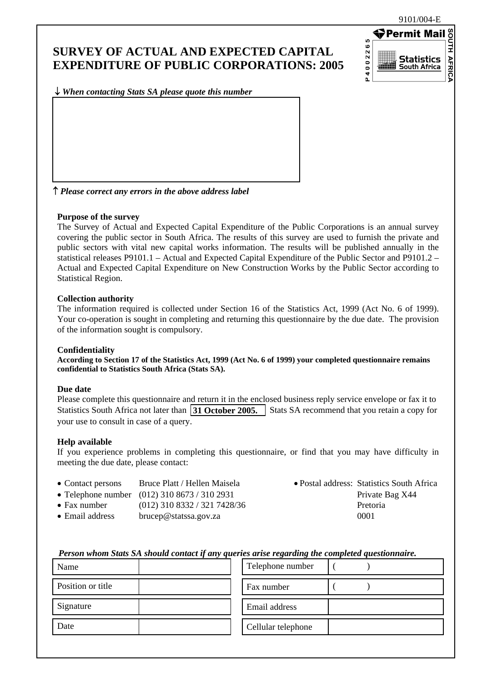9101/004-E

## **SURVEY OF ACTUAL AND EXPECTED CAPITAL EXPENDITURE OF PUBLIC CORPORATIONS: 2005**



↓ *When contacting Stats SA please quote this number*

↑ *Please correct any errors in the above address label*

#### **Purpose of the survey**

The Survey of Actual and Expected Capital Expenditure of the Public Corporations is an annual survey covering the public sector in South Africa. The results of this survey are used to furnish the private and public sectors with vital new capital works information. The results will be published annually in the statistical releases P9101.1 – Actual and Expected Capital Expenditure of the Public Sector and P9101.2 – Actual and Expected Capital Expenditure on New Construction Works by the Public Sector according to Statistical Region.

#### **Collection authority**

The information required is collected under Section 16 of the Statistics Act, 1999 (Act No. 6 of 1999). Your co-operation is sought in completing and returning this questionnaire by the due date. The provision of the information sought is compulsory.

#### **Confidentiality**

**According to Section 17 of the Statistics Act, 1999 (Act No. 6 of 1999) your completed questionnaire remains confidential to Statistics South Africa (Stats SA).** 

#### **Due date**

Please complete this questionnaire and return it in the enclosed business reply service envelope or fax it to Statistics South Africa not later than **31 October 2005.** Stats SA recommend that you retain a copy for your use to consult in case of a query.

#### **Help available**

If you experience problems in completing this questionnaire, or find that you may have difficulty in meeting the due date, please contact:

| • Contact persons       | Bruce Platt / Hellen Maisela                   | • Postal address: Statistics South Africa |
|-------------------------|------------------------------------------------|-------------------------------------------|
|                         | • Telephone number $(012)$ 310 8673 / 310 2931 | Private Bag X44                           |
| $\bullet$ Fax number    | $(012)$ 310 8332 / 321 7428/36                 | Pretoria                                  |
| $\bullet$ Email address | brucep@statssa.gov.za                          | 0001                                      |

#### *Person whom Stats SA should contact if any queries arise regarding the completed questionnaire.*

| Name              | Telephone number   |
|-------------------|--------------------|
| Position or title | Fax number         |
| Signature         | Email address      |
| Date              | Cellular telephone |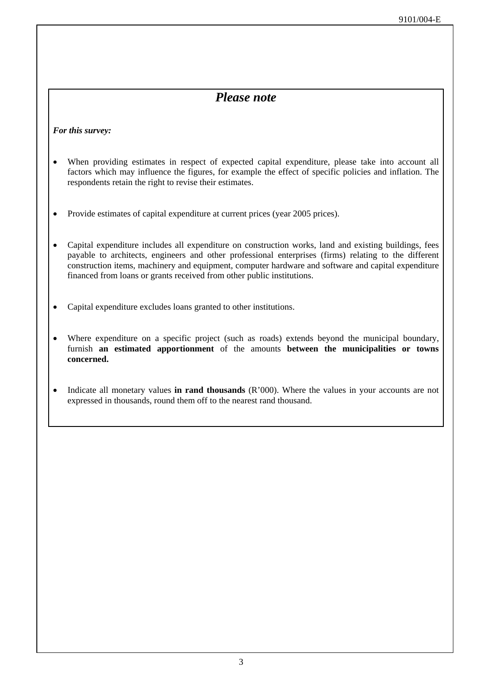## *Please note*

### *For this survey:*

- When providing estimates in respect of expected capital expenditure, please take into account all factors which may influence the figures, for example the effect of specific policies and inflation. The respondents retain the right to revise their estimates.
- Provide estimates of capital expenditure at current prices (year 2005 prices).
- Capital expenditure includes all expenditure on construction works, land and existing buildings, fees payable to architects, engineers and other professional enterprises (firms) relating to the different construction items, machinery and equipment, computer hardware and software and capital expenditure financed from loans or grants received from other public institutions.
- Capital expenditure excludes loans granted to other institutions.
- Where expenditure on a specific project (such as roads) extends beyond the municipal boundary, furnish **an estimated apportionment** of the amounts **between the municipalities or towns concerned.**
- Indicate all monetary values **in rand thousands** (R'000). Where the values in your accounts are not expressed in thousands, round them off to the nearest rand thousand.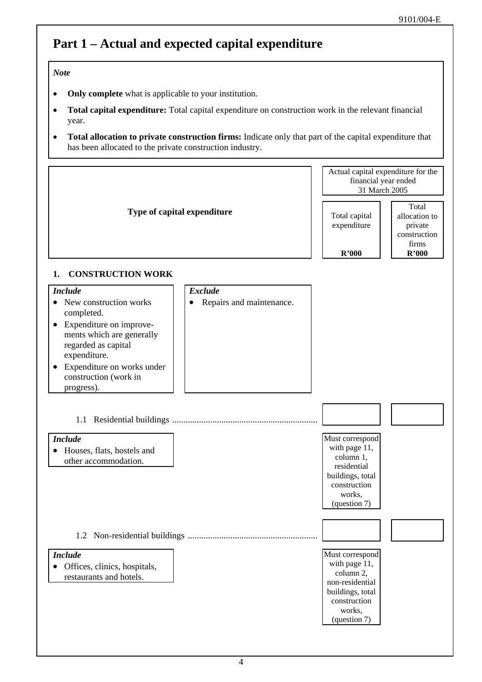# **Part 1 – Actual and expected capital expenditure**

## *Note*

- **Only complete** what is applicable to your institution.
- **Total capital expenditure:** Total capital expenditure on construction work in the relevant financial year.
- **Total allocation to private construction firms:** Indicate only that part of the capital expenditure that has been allocated to the private construction industry.

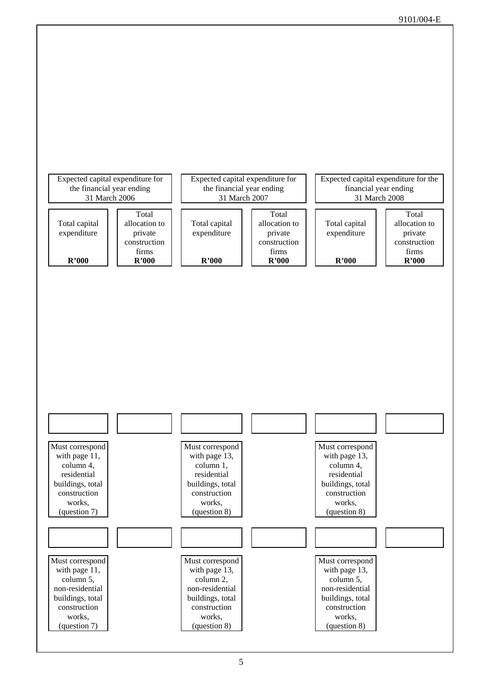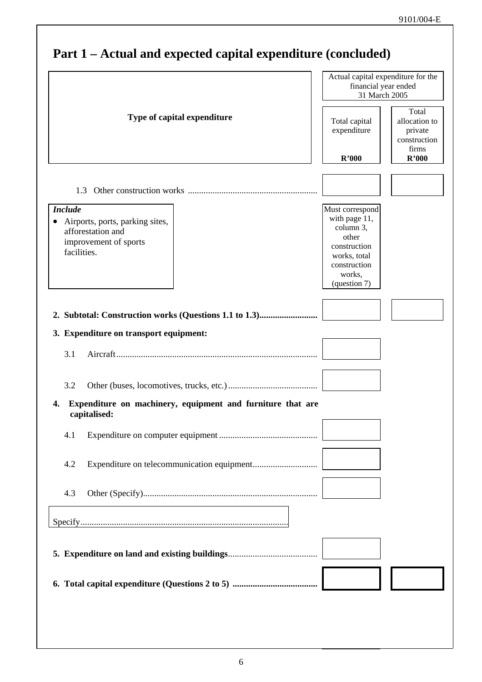|                                                                                                                |                                                                                                                                  | Actual capital expenditure for the<br>financial year ended<br>31 March 2005 |  |  |
|----------------------------------------------------------------------------------------------------------------|----------------------------------------------------------------------------------------------------------------------------------|-----------------------------------------------------------------------------|--|--|
| Type of capital expenditure                                                                                    | Total capital<br>expenditure<br>R'000                                                                                            | Total<br>allocation to<br>private<br>construction<br>firms<br>R'000         |  |  |
|                                                                                                                |                                                                                                                                  |                                                                             |  |  |
| <b>Include</b><br>Airports, ports, parking sites,<br>afforestation and<br>improvement of sports<br>facilities. | Must correspond<br>with page 11,<br>column 3,<br>other<br>construction<br>works, total<br>construction<br>works,<br>(question 7) |                                                                             |  |  |
| 2. Subtotal: Construction works (Questions 1.1 to 1.3)<br>3. Expenditure on transport equipment:<br>3.1        |                                                                                                                                  |                                                                             |  |  |
| 3.2                                                                                                            |                                                                                                                                  |                                                                             |  |  |
| Expenditure on machinery, equipment and furniture that are<br>4.<br>capitalised:                               |                                                                                                                                  |                                                                             |  |  |
| 4.1                                                                                                            |                                                                                                                                  |                                                                             |  |  |
|                                                                                                                |                                                                                                                                  |                                                                             |  |  |
| 4.2                                                                                                            |                                                                                                                                  |                                                                             |  |  |
| 4.3                                                                                                            |                                                                                                                                  |                                                                             |  |  |
|                                                                                                                |                                                                                                                                  |                                                                             |  |  |
|                                                                                                                |                                                                                                                                  |                                                                             |  |  |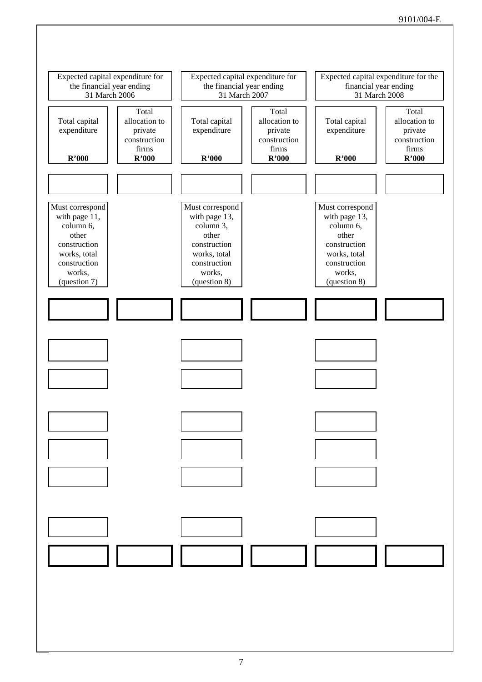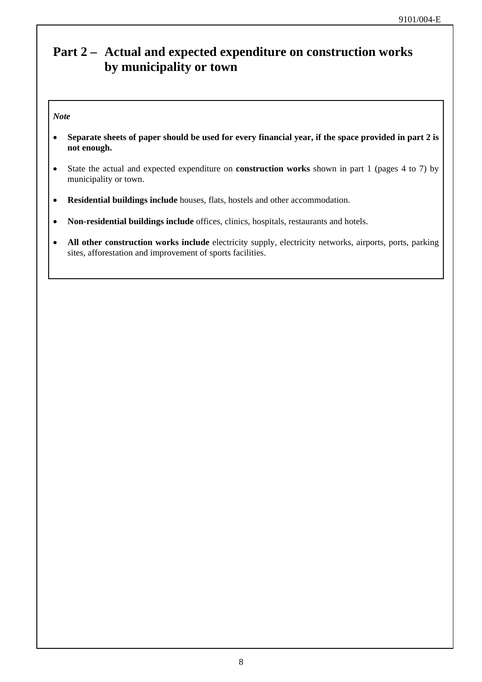# **Part 2 – Actual and expected expenditure on construction works by municipality or town**

*Note* 

- **Separate sheets of paper should be used for every financial year, if the space provided in part 2 is not enough.**
- State the actual and expected expenditure on **construction works** shown in part 1 (pages 4 to 7) by municipality or town.
- **Residential buildings include** houses, flats, hostels and other accommodation.
- **Non-residential buildings include** offices, clinics, hospitals, restaurants and hotels.
- **All other construction works include** electricity supply, electricity networks, airports, ports, parking sites, afforestation and improvement of sports facilities.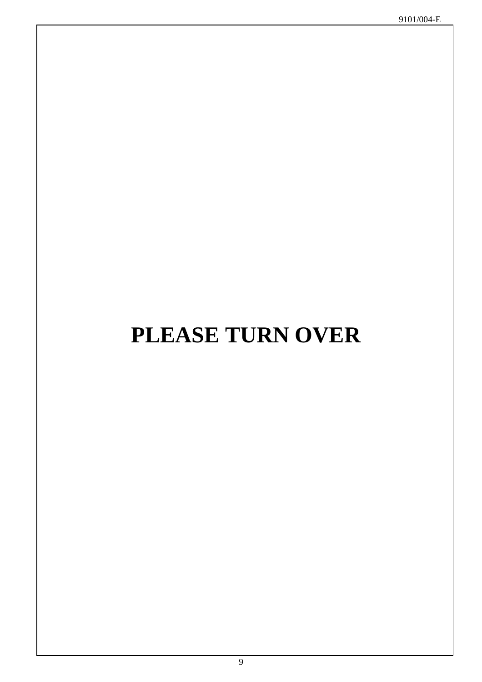# **PLEASE TURN OVER**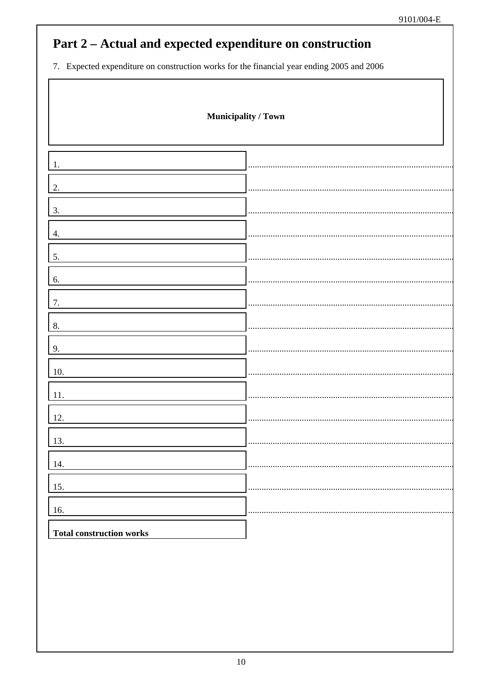# Part 2 – Actual and expected expenditure on construction

 $\lceil$ 

7. Expected expenditure on construction works for the financial year ending 2005 and 2006

| Municipality / Town             |  |
|---------------------------------|--|
| 1.                              |  |
| 2.                              |  |
| 3.                              |  |
| 4.                              |  |
| 5.                              |  |
| 6.                              |  |
| 7.                              |  |
| 8.                              |  |
| 9.                              |  |
| 10.                             |  |
| $11. \,$                        |  |
| 12.                             |  |
| 13.                             |  |
| 14.<br>15.                      |  |
| 16.                             |  |
| <b>Total construction works</b> |  |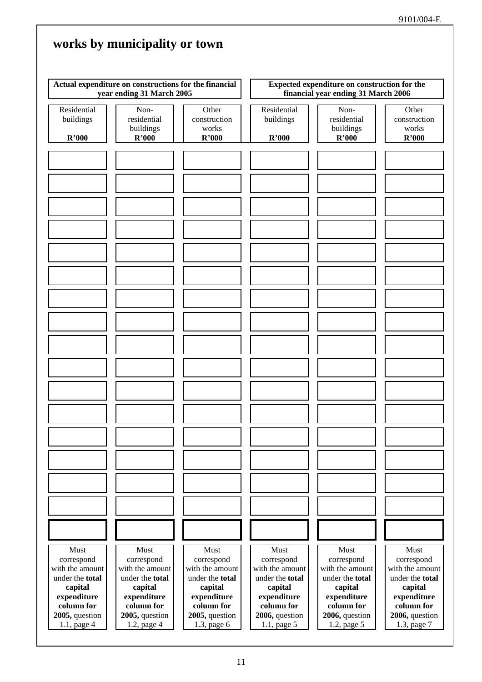|                                    | Actual expenditure on constructions for the financial<br>year ending 31 March 2005 |                                    | Expected expenditure on construction for the<br>financial year ending 31 March 2006 |                                    |                                    |
|------------------------------------|------------------------------------------------------------------------------------|------------------------------------|-------------------------------------------------------------------------------------|------------------------------------|------------------------------------|
| Residential<br>buildings           | Non-<br>residential<br>buildings                                                   | Other<br>construction<br>works     | Residential<br>buildings                                                            | Non-<br>residential<br>buildings   | Other<br>construction<br>works     |
| R'000                              | R'000                                                                              | R'000                              | R'000                                                                               | R'000                              | R'000                              |
|                                    |                                                                                    |                                    |                                                                                     |                                    |                                    |
|                                    |                                                                                    |                                    |                                                                                     |                                    |                                    |
|                                    |                                                                                    |                                    |                                                                                     |                                    |                                    |
|                                    |                                                                                    |                                    |                                                                                     |                                    |                                    |
|                                    |                                                                                    |                                    |                                                                                     |                                    |                                    |
|                                    |                                                                                    |                                    |                                                                                     |                                    |                                    |
|                                    |                                                                                    |                                    |                                                                                     |                                    |                                    |
|                                    |                                                                                    |                                    |                                                                                     |                                    |                                    |
|                                    |                                                                                    |                                    |                                                                                     |                                    |                                    |
|                                    |                                                                                    |                                    |                                                                                     |                                    |                                    |
|                                    |                                                                                    |                                    |                                                                                     |                                    |                                    |
|                                    |                                                                                    |                                    |                                                                                     |                                    |                                    |
|                                    |                                                                                    |                                    |                                                                                     |                                    |                                    |
|                                    |                                                                                    |                                    |                                                                                     |                                    |                                    |
|                                    |                                                                                    |                                    |                                                                                     |                                    |                                    |
|                                    |                                                                                    |                                    |                                                                                     |                                    |                                    |
|                                    |                                                                                    |                                    |                                                                                     |                                    |                                    |
|                                    |                                                                                    |                                    |                                                                                     |                                    |                                    |
|                                    |                                                                                    |                                    |                                                                                     |                                    |                                    |
|                                    |                                                                                    |                                    |                                                                                     |                                    |                                    |
|                                    |                                                                                    |                                    |                                                                                     |                                    |                                    |
|                                    |                                                                                    |                                    |                                                                                     |                                    |                                    |
|                                    |                                                                                    |                                    |                                                                                     |                                    |                                    |
|                                    |                                                                                    |                                    |                                                                                     |                                    |                                    |
|                                    |                                                                                    |                                    |                                                                                     |                                    |                                    |
|                                    |                                                                                    |                                    |                                                                                     |                                    |                                    |
|                                    |                                                                                    |                                    |                                                                                     |                                    |                                    |
|                                    |                                                                                    |                                    |                                                                                     |                                    |                                    |
|                                    |                                                                                    |                                    |                                                                                     |                                    |                                    |
| Must                               | Must                                                                               | Must                               | Must                                                                                | Must                               | Must                               |
| correspond                         | correspond                                                                         | correspond                         | correspond                                                                          | correspond                         | correspond                         |
| with the amount<br>under the total | with the amount<br>under the total                                                 | with the amount<br>under the total | with the amount<br>under the total                                                  | with the amount<br>under the total | with the amount<br>under the total |
| capital                            | capital                                                                            | capital                            | capital                                                                             | capital                            | capital                            |
| expenditure<br>column for          | expenditure<br>column for                                                          | expenditure<br>column for          | expenditure<br>column for                                                           | expenditure<br>column for          | expenditure<br>column for          |
| 2005, question                     | 2005, question                                                                     | 2005, question                     | 2006, question                                                                      | 2006, question                     | 2006, question                     |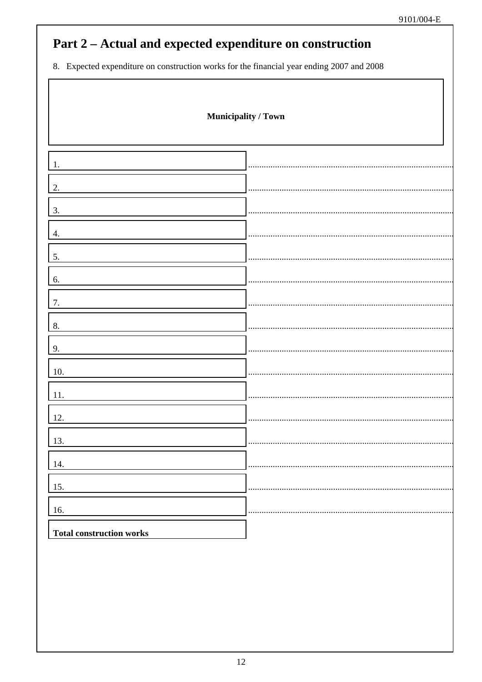# Part 2 – Actual and expected expenditure on construction

 $\Gamma$ 

8. Expected expenditure on construction works for the financial year ending 2007 and 2008

|                                 | Municipality / Town |
|---------------------------------|---------------------|
| 1.                              |                     |
| 2.                              |                     |
| 3.                              |                     |
| 4.                              |                     |
| 5.                              |                     |
| 6.                              |                     |
| 7.                              |                     |
| 8.                              |                     |
| 9.                              |                     |
| 10.                             |                     |
| 11.                             |                     |
| 12.                             |                     |
| 13.                             |                     |
| 14.<br>15.                      |                     |
| 16.                             |                     |
| <b>Total construction works</b> |                     |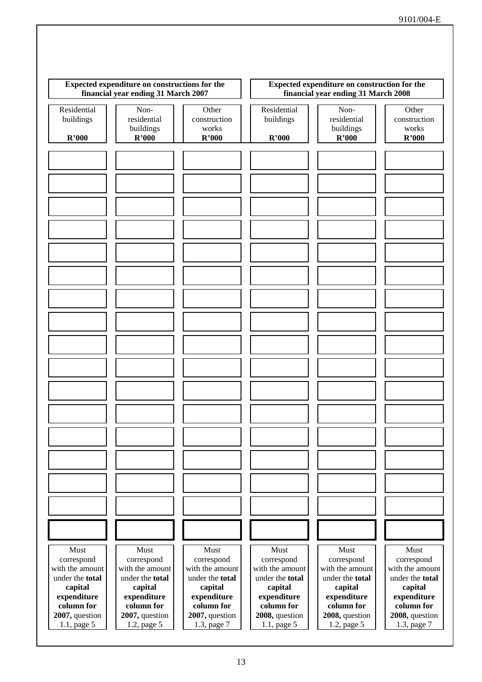|                                                                                                                    | Expected expenditure on constructions for the<br>financial year ending 31 March 2007                               |                                                                                                                    | Expected expenditure on construction for the<br>financial year ending 31 March 2008                                |                                                                                                                    |                                                                                                                    |
|--------------------------------------------------------------------------------------------------------------------|--------------------------------------------------------------------------------------------------------------------|--------------------------------------------------------------------------------------------------------------------|--------------------------------------------------------------------------------------------------------------------|--------------------------------------------------------------------------------------------------------------------|--------------------------------------------------------------------------------------------------------------------|
| Residential<br>buildings<br>R'000                                                                                  | Non-<br>residential<br>buildings<br>R'000                                                                          | Other<br>construction<br>works<br>R'000                                                                            | Residential<br>buildings<br>R'000                                                                                  | Non-<br>residential<br>buildings<br>R'000                                                                          | Other<br>construction<br>works<br>R'000                                                                            |
|                                                                                                                    |                                                                                                                    |                                                                                                                    |                                                                                                                    |                                                                                                                    |                                                                                                                    |
|                                                                                                                    |                                                                                                                    |                                                                                                                    |                                                                                                                    |                                                                                                                    |                                                                                                                    |
|                                                                                                                    |                                                                                                                    |                                                                                                                    |                                                                                                                    |                                                                                                                    |                                                                                                                    |
|                                                                                                                    |                                                                                                                    |                                                                                                                    |                                                                                                                    |                                                                                                                    |                                                                                                                    |
|                                                                                                                    |                                                                                                                    |                                                                                                                    |                                                                                                                    |                                                                                                                    |                                                                                                                    |
|                                                                                                                    |                                                                                                                    |                                                                                                                    |                                                                                                                    |                                                                                                                    |                                                                                                                    |
|                                                                                                                    |                                                                                                                    |                                                                                                                    |                                                                                                                    |                                                                                                                    |                                                                                                                    |
|                                                                                                                    |                                                                                                                    |                                                                                                                    |                                                                                                                    |                                                                                                                    |                                                                                                                    |
|                                                                                                                    |                                                                                                                    |                                                                                                                    |                                                                                                                    |                                                                                                                    |                                                                                                                    |
|                                                                                                                    |                                                                                                                    |                                                                                                                    |                                                                                                                    |                                                                                                                    |                                                                                                                    |
|                                                                                                                    |                                                                                                                    |                                                                                                                    |                                                                                                                    |                                                                                                                    |                                                                                                                    |
|                                                                                                                    |                                                                                                                    |                                                                                                                    |                                                                                                                    |                                                                                                                    |                                                                                                                    |
|                                                                                                                    |                                                                                                                    |                                                                                                                    |                                                                                                                    |                                                                                                                    |                                                                                                                    |
|                                                                                                                    |                                                                                                                    |                                                                                                                    |                                                                                                                    |                                                                                                                    |                                                                                                                    |
|                                                                                                                    |                                                                                                                    |                                                                                                                    |                                                                                                                    |                                                                                                                    |                                                                                                                    |
| Must<br>correspond<br>with the amount<br>under the total<br>capital<br>expenditure<br>column for<br>2007, question | Must<br>correspond<br>with the amount<br>under the total<br>capital<br>expenditure<br>column for<br>2007, question | Must<br>correspond<br>with the amount<br>under the total<br>capital<br>expenditure<br>column for<br>2007, question | Must<br>correspond<br>with the amount<br>under the total<br>capital<br>expenditure<br>column for<br>2008, question | Must<br>correspond<br>with the amount<br>under the total<br>capital<br>expenditure<br>column for<br>2008, question | Must<br>correspond<br>with the amount<br>under the total<br>capital<br>expenditure<br>column for<br>2008, question |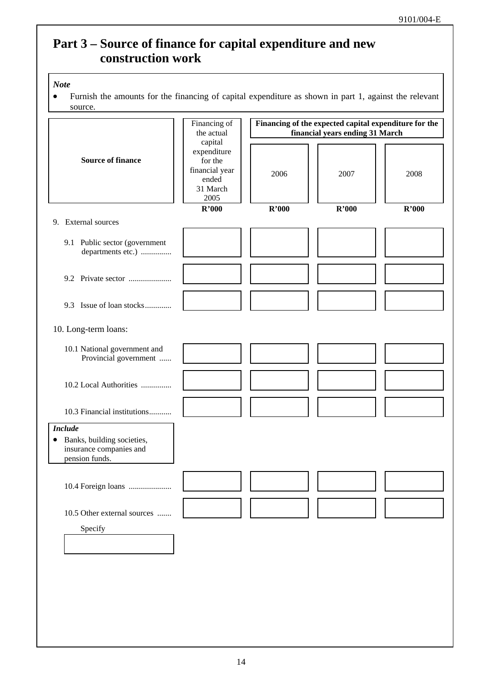# **Part 3 – Source of finance for capital expenditure and new construction work**

#### *Note*

• Furnish the amounts for the financing of capital expenditure as shown in part 1, against the relevant  $\frac{1}{2}$ 

| source.                                                                                                |                                                                                  |                                                                                          |       |       |
|--------------------------------------------------------------------------------------------------------|----------------------------------------------------------------------------------|------------------------------------------------------------------------------------------|-------|-------|
|                                                                                                        | Financing of<br>the actual                                                       | Financing of the expected capital expenditure for the<br>financial years ending 31 March |       |       |
| <b>Source of finance</b>                                                                               | capital<br>expenditure<br>for the<br>financial year<br>ended<br>31 March<br>2005 | 2006                                                                                     | 2007  | 2008  |
|                                                                                                        | R'000                                                                            | R'000                                                                                    | R'000 | R'000 |
| 9. External sources                                                                                    |                                                                                  |                                                                                          |       |       |
| 9.1 Public sector (government<br>departments etc.)                                                     |                                                                                  |                                                                                          |       |       |
| 9.2 Private sector                                                                                     |                                                                                  |                                                                                          |       |       |
| 9.3 Issue of loan stocks                                                                               |                                                                                  |                                                                                          |       |       |
| 10. Long-term loans:                                                                                   |                                                                                  |                                                                                          |       |       |
| 10.1 National government and<br>Provincial government                                                  |                                                                                  |                                                                                          |       |       |
| 10.2 Local Authorities                                                                                 |                                                                                  |                                                                                          |       |       |
| 10.3 Financial institutions                                                                            |                                                                                  |                                                                                          |       |       |
| <b>Include</b><br>Banks, building societies,<br>$\bullet$<br>insurance companies and<br>pension funds. |                                                                                  |                                                                                          |       |       |
|                                                                                                        |                                                                                  |                                                                                          |       |       |
| 10.5 Other external sources                                                                            |                                                                                  |                                                                                          |       |       |
| Specify                                                                                                |                                                                                  |                                                                                          |       |       |
|                                                                                                        |                                                                                  |                                                                                          |       |       |
|                                                                                                        |                                                                                  |                                                                                          |       |       |
|                                                                                                        |                                                                                  |                                                                                          |       |       |
|                                                                                                        |                                                                                  |                                                                                          |       |       |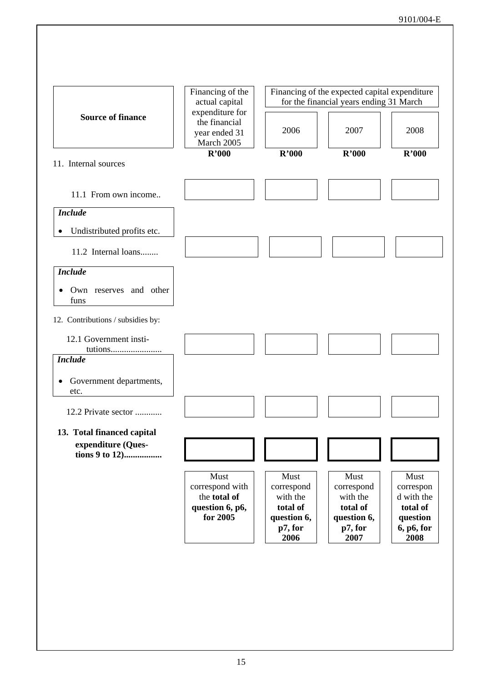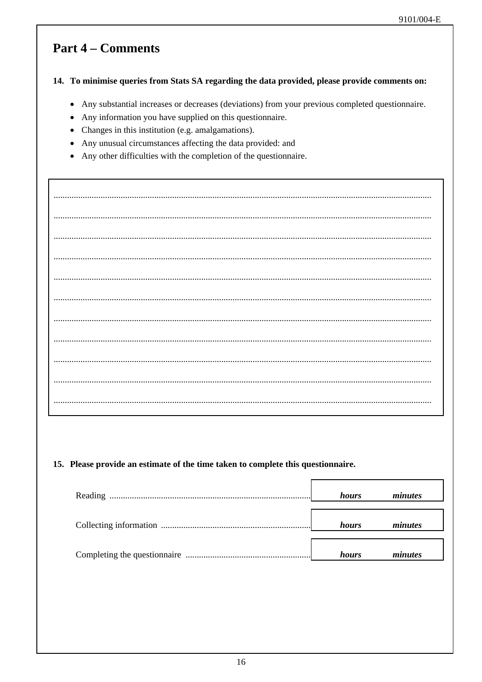# **Part 4 – Comments**

## 14. To minimise queries from Stats SA regarding the data provided, please provide comments on:

- Any substantial increases or decreases (deviations) from your previous completed questionnaire.
- Any information you have supplied on this questionnaire.  $\bullet$
- Changes in this institution (e.g. amalgamations).  $\bullet$
- Any unusual circumstances affecting the data provided: and
- Any other difficulties with the completion of the questionnaire.

## 15. Please provide an estimate of the time taken to complete this questionnaire.

| <i>hours</i> | minutes |
|--------------|---------|
| hours        | minutes |
| <i>hours</i> | minutes |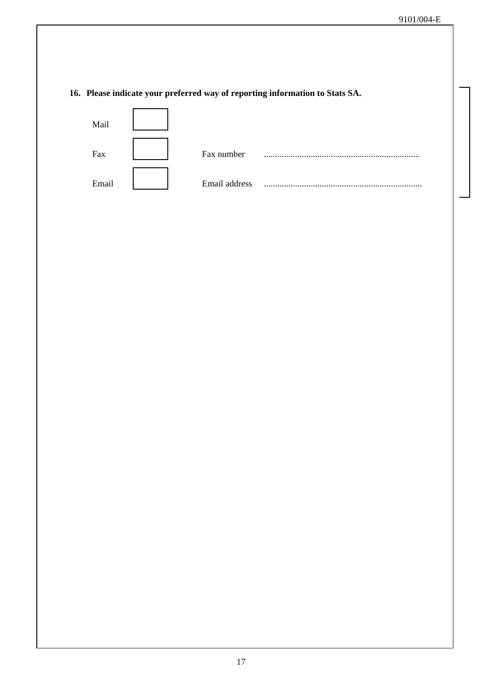## **16. Please indicate your preferred way of reporting information to Stats SA.**